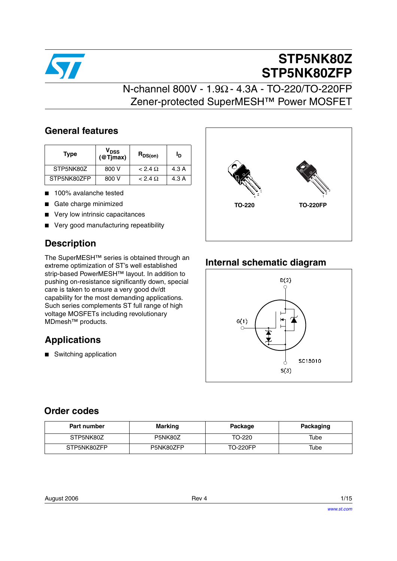

# **STP5NK80Z STP5NK80ZFP**

## N-channel 800V - 1.9Ω - 4.3A - TO-220/TO-220FP Zener-protected SuperMESH™ Power MOSFET

### **General features**

| Type        | V <sub>DSS</sub><br>$@Tjmax$ ) | $R_{DS(on)}$         | סי    |
|-------------|--------------------------------|----------------------|-------|
| STP5NK80Z   | 800 V                          | $\langle 2.4 \Omega$ | 4.3 A |
| STP5NK80ZFP | 800 V                          | $\langle 2.4 \Omega$ | 4.3 A |

- 100% avalanche tested
- Gate charge minimized
- Very low intrinsic capacitances
- Very good manufacturing repeatibility

## **Description**

The SuperMESH™ series is obtained through an extreme optimization of ST's well established strip-based PowerMESH™ layout. In addition to pushing on-resistance significantly down, special care is taken to ensure a very good dv/dt capability for the most demanding applications. Such series complements ST full range of high voltage MOSFETs including revolutionary MDmesh™ products.

## **Applications**

■ Switching application



## **Internal schematic diagram**



#### **Order codes**

| Part number | <b>Marking</b> | Package         | Packaging |
|-------------|----------------|-----------------|-----------|
| STP5NK80Z   | P5NK80Z        | TO-220          | Tube      |
| STP5NK80ZFP | P5NK80ZFP      | <b>TO-220FP</b> | Tube      |

| August 2006 | Rev 4 | 1/15 |
|-------------|-------|------|
|             |       |      |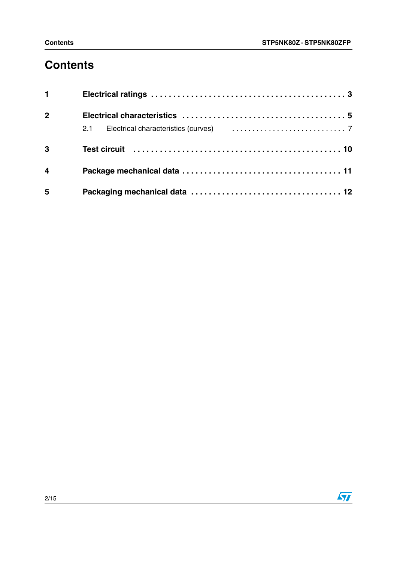# **Contents**

| $1 \quad \blacksquare$ |                                                                                   |
|------------------------|-----------------------------------------------------------------------------------|
| 2 <sup>2</sup>         |                                                                                   |
|                        | 2.1 Electrical characteristics (curves) [1, 1, 1, 1, 1, 1, 1, 1, 1, 1, 1, 1, 1, 7 |
| 3                      |                                                                                   |
| $\overline{4}$         |                                                                                   |
| 5                      |                                                                                   |

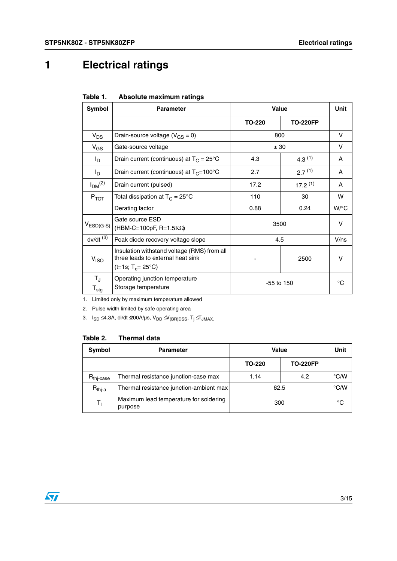# <span id="page-2-0"></span>**1 Electrical ratings**

| Symbol                                     | <b>Parameter</b>                                                                                                  | <b>Value</b> |                    | Unit        |
|--------------------------------------------|-------------------------------------------------------------------------------------------------------------------|--------------|--------------------|-------------|
|                                            |                                                                                                                   | TO-220       | <b>TO-220FP</b>    |             |
| $V_{DS}$                                   | Drain-source voltage ( $V_{GS} = 0$ )                                                                             | 800          |                    | V           |
| $V_{GS}$                                   | Gate-source voltage                                                                                               | ± 30         |                    | v           |
| I <sub>D</sub>                             | Drain current (continuous) at $T_C = 25^{\circ}C$                                                                 | 4.3          | $4.3^{(1)}$        | A           |
| I <sub>D</sub>                             | Drain current (continuous) at $T_C = 100^{\circ}C$                                                                | 2.7          | 2.7 <sup>(1)</sup> | A           |
| I <sub>DM</sub> <sup>(2)</sup>             | Drain current (pulsed)                                                                                            | 17.2         | $17.2^{(1)}$       | A           |
| $P_{TOT}$                                  | Total dissipation at $T_C = 25^{\circ}C$                                                                          | 110          | 30                 | w           |
|                                            | Derating factor                                                                                                   | 0.88         | 0.24               | $W$ /°C     |
| $V_{ESD(G-S)}$                             | Gate source ESD<br>$(HBM-C=100pF, R=1.5K\Omega)$                                                                  | 3500         |                    | V           |
| $dv/dt$ <sup>(3)</sup>                     | Peak diode recovery voltage slope                                                                                 | 4.5          |                    | V/ns        |
| V <sub>ISO</sub>                           | Insulation withstand voltage (RMS) from all<br>three leads to external heat sink<br>(t=1s; T <sub>c</sub> = 25°C) |              | 2500               | $\vee$      |
| $T_{\rm J}$<br>$\mathsf{T}_{\mathsf{stg}}$ | Operating junction temperature<br>Storage temperature                                                             | -55 to 150   |                    | $^{\circ}C$ |

#### **Table 1. Absolute maximum ratings**

1. Limited only by maximum temperature allowed

2. Pulse width limited by safe operating area

3. I<sub>SD</sub> ≤4.3A, di/dt  $\text{\textsterling{00A/µs}}, V_{DD} \leq V_{(BR)DSS}, T$ <sub>j</sub> ≤ T<sub>JMAX.</sub>

#### **Table 2. Thermal data**

| Symbol                | <b>Parameter</b>                                  | Value  |                 | Unit          |
|-----------------------|---------------------------------------------------|--------|-----------------|---------------|
|                       |                                                   | TO-220 | <b>TO-220FP</b> |               |
| R <sub>thj-case</sub> | Thermal resistance junction-case max              | 1.14   | 4.2             | °C/W          |
| $R_{thi-a}$           | Thermal resistance junction-ambient max           | 62.5   |                 | $\degree$ C/W |
| $T_1$                 | Maximum lead temperature for soldering<br>purpose | 300    |                 | °C            |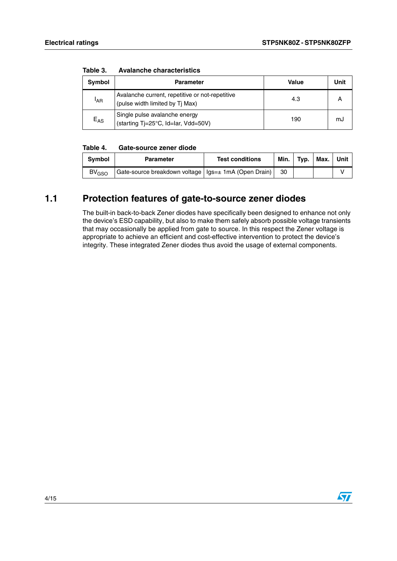| Symbol   | <b>Parameter</b>                                                                   | <b>Value</b> | Unit |
|----------|------------------------------------------------------------------------------------|--------------|------|
| 'AR      | Avalanche current, repetitive or not-repetitive<br>(pulse width limited by Ti Max) | 4.3          |      |
| $E_{AS}$ | Single pulse avalanche energy<br>(starting Tj=25°C, Id=Iar, Vdd=50V)               | 190          | mJ   |

**Table 3. Avalanche characteristics**

#### **Table 4. Gate-source zener diode**

| <b>Symbol</b> | <b>Parameter</b>                                       | <b>Test conditions</b> | Min. l | Tvp. | Max. | Unit |
|---------------|--------------------------------------------------------|------------------------|--------|------|------|------|
| $BV_{GSO}$    | Gate-source breakdown voltage   Igs=± 1mA (Open Drain) |                        | -30    |      |      |      |

#### **1.1 Protection features of gate-to-source zener diodes**

The built-in back-to-back Zener diodes have specifically been designed to enhance not only the device's ESD capability, but also to make them safely absorb possible voltage transients that may occasionally be applied from gate to source. In this respect the Zener voltage is appropriate to achieve an efficient and cost-effective intervention to protect the device's integrity. These integrated Zener diodes thus avoid the usage of external components.

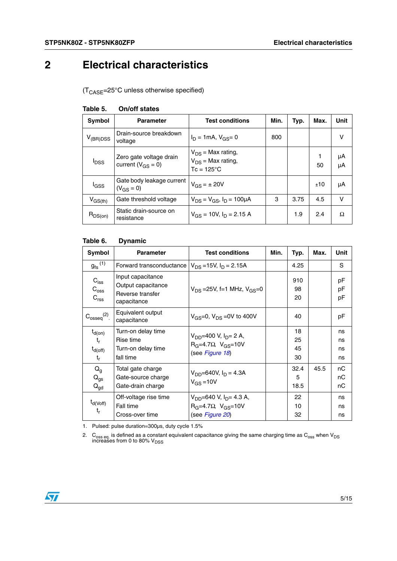# <span id="page-4-0"></span>**2 Electrical characteristics**

(TCASE=25°C unless otherwise specified)

| Symbol           | <b>Parameter</b>                                    | <b>Test conditions</b>                                                  | Min. | Typ. | Max.    | Unit     |
|------------------|-----------------------------------------------------|-------------------------------------------------------------------------|------|------|---------|----------|
| $V_{(BR)DSS}$    | Drain-source breakdown<br>voltage                   | $I_D = 1mA$ , $V_{GS} = 0$                                              | 800  |      |         | v        |
| <sup>I</sup> DSS | Zero gate voltage drain<br>current ( $V_{GS} = 0$ ) | $V_{DS}$ = Max rating,<br>$V_{DS}$ = Max rating,<br>$Tc = 125^{\circ}C$ |      |      | 1<br>50 | μA<br>μA |
| lgss             | Gate body leakage current<br>$(V_{GS} = 0)$         | $V_{GS} = \pm 20V$                                                      |      |      | ±10     | μA       |
| $V_{GS(th)}$     | Gate threshold voltage                              | $V_{DS} = V_{GS}$ , $I_D = 100 \mu A$                                   | 3    | 3.75 | 4.5     | v        |
| $R_{DS(on)}$     | Static drain-source on<br>resistance                | $V_{GS}$ = 10V, $I_D$ = 2.15 A                                          |      | 1.9  | 2.4     | Ω        |

#### **Table 5. On/off states**

#### **Table 6. Dynamic**

| Symbol                                         | <b>Parameter</b>                                                           | <b>Test conditions</b>                                                                               | Min. | Typ.                 | Max. | Unit                 |
|------------------------------------------------|----------------------------------------------------------------------------|------------------------------------------------------------------------------------------------------|------|----------------------|------|----------------------|
| $g_{\text{fs}}^{(1)}$                          | Forward transconductance $V_{DS}$ =15V, $I_D$ = 2.15A                      |                                                                                                      |      | 4.25                 |      | S                    |
| $C_{iss}$<br>$C_{\rm oss}$<br>$C_{\text{rss}}$ | Input capacitance<br>Output capacitance<br>Reverse transfer<br>capacitance | $V_{DS}$ = 25V, f = 1 MHz, $V_{GS}$ = 0                                                              |      | 910<br>98<br>20      |      | pF<br>pF<br>pF       |
| $C_{\text{osseq}}^{(2)}$                       | Equivalent output<br>capacitance                                           | $V_{GS} = 0$ , $V_{DS} = 0V$ to 400V                                                                 |      | 40                   |      | рF                   |
| $t_{d(on)}$<br>t,<br>$t_{d(off)}$<br>t,        | Turn-on delay time<br>Rise time<br>Turn-on delay time<br>fall time         | V <sub>DD</sub> =400 V, I <sub>D</sub> = 2 A,<br>$R_G=4.7\Omega$ , $V_{GS}=10V$<br>(see Figure 18)   |      | 18<br>25<br>45<br>30 |      | ns<br>ns<br>ns<br>ns |
| $Q_{q}$<br>$Q_{gs}$<br>$Q_{\text{gd}}$         | Total gate charge<br>Gate-source charge<br>Gate-drain charge               | $V_{DD} = 640V, I_D = 4.3A$<br>$V_{GS} = 10V$                                                        |      | 32.4<br>5<br>18.5    | 45.5 | nC<br>nС<br>пC       |
| $t_{d(Voff)}$<br>$t_{r}$                       | Off-voltage rise time<br>Fall time<br>Cross-over time                      | V <sub>DD</sub> =640 V, I <sub>D</sub> = 4.3 A,<br>$R_G=4.7\Omega$ , $V_{GS}=10V$<br>(see Figure 20) |      | 22<br>10<br>32       |      | ns<br>ns<br>ns       |

1. Pulsed: pulse duration=300µs, duty cycle 1.5%

2. C<sub>oss eq.</sub> is defined as a constant equivalent capacitance giving the same charging time as C<sub>oss</sub> when V<sub>DS</sub><br>increases from 0 to 80% V<sub>DSS</sub>

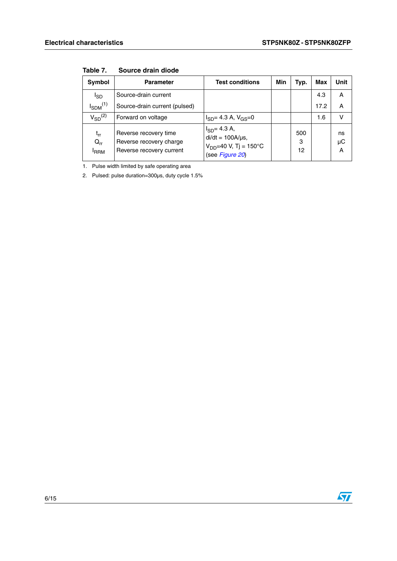| Symbol                              | <b>Parameter</b>                                                             | <b>Test conditions</b>                                                                        | Min | Typ.           | Max  | Unit          |
|-------------------------------------|------------------------------------------------------------------------------|-----------------------------------------------------------------------------------------------|-----|----------------|------|---------------|
| I <sub>SD</sub>                     | Source-drain current                                                         |                                                                                               |     |                | 4.3  | Α             |
| $I_{SDM}$ <sup>(1)</sup>            | Source-drain current (pulsed)                                                |                                                                                               |     |                | 17.2 | A             |
| $V_{SD}^{(2)}$                      | Forward on voltage                                                           | $I_{SD} = 4.3$ A, $V_{GS} = 0$                                                                |     |                | 1.6  | v             |
| $t_{rr}$<br>$Q_{rr}$<br><b>IRRM</b> | Reverse recovery time<br>Reverse recovery charge<br>Reverse recovery current | $I_{SD} = 4.3 A$ ,<br>$di/dt = 100A/\mu s$ ,<br>$V_{DD}$ =40 V, Tj = 150°C<br>(see Figure 20) |     | 500<br>3<br>12 |      | ns<br>μC<br>Α |

**Table 7. Source drain diode**

1. Pulse width limited by safe operating area

2. Pulsed: pulse duration=300µs, duty cycle 1.5%

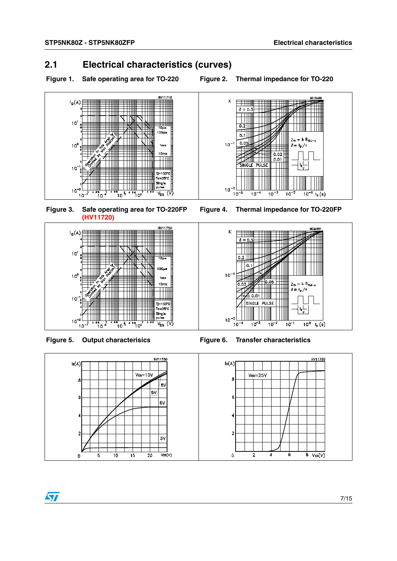## <span id="page-6-0"></span>**2.1 Electrical characteristics (curves)**

**Figure 1. Safe operating area for TO-220 Figure 2. Thermal impedance for TO-220**



**Figure 3. Safe operating area for TO-220FP (HV11720)**







**Figure 4. Thermal impedance for TO-220FP**



Figure 5. Output characterisics **Figure 6. Transfer characteristics** 



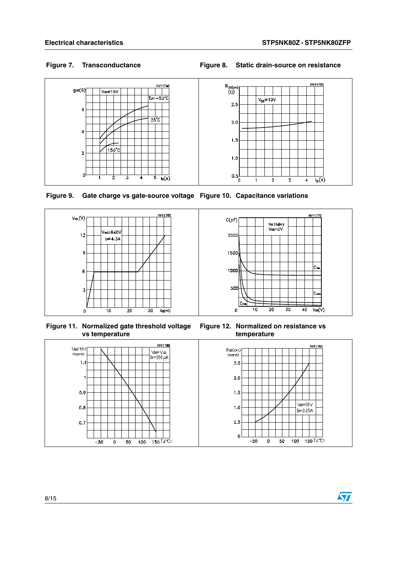#### **Figure 7. Transconductance Figure 8. Static drain-source on resistance**



**Figure 9. Gate charge vs gate-source voltage Figure 10. Capacitance variations**



**Figure 11. Normalized gate threshold voltage vs temperature**



**Figure 12. Normalized on resistance vs temperature**

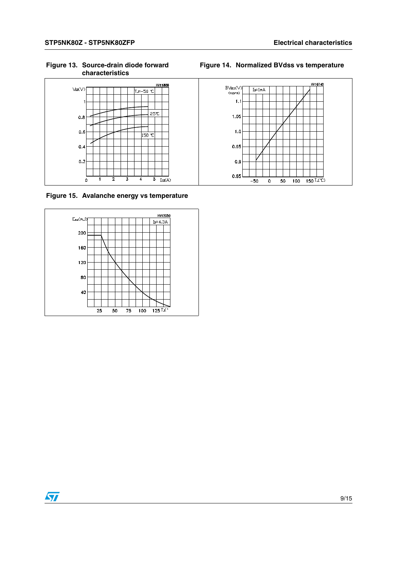

**Figure 15. Avalanche energy vs temperature**







 $\sqrt{2}$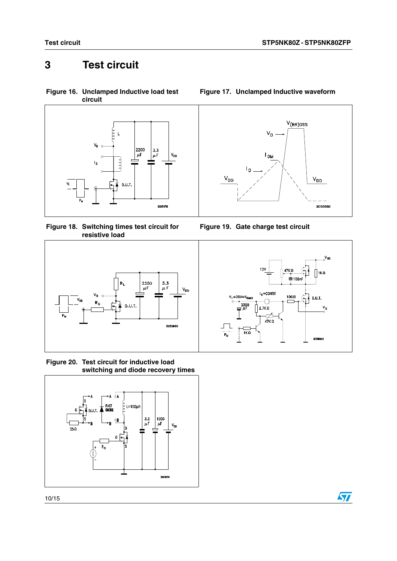## <span id="page-9-0"></span>**3 Test circuit**





<span id="page-9-1"></span>**Figure 18. Switching times test circuit for resistive load**



<span id="page-9-2"></span>**Figure 20. Test circuit for inductive load switching and diode recovery times**



**Figure 17. Unclamped Inductive waveform**







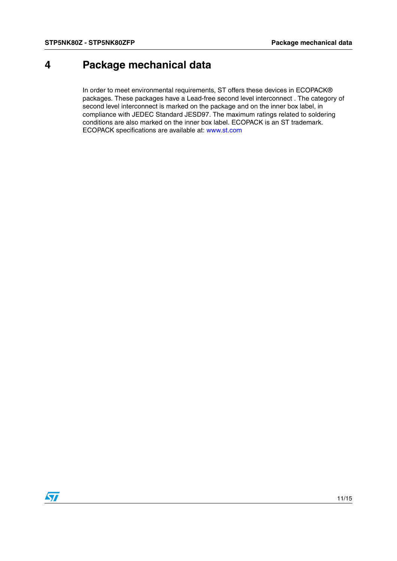## <span id="page-10-0"></span>**4 Package mechanical data**

In order to meet environmental requirements, ST offers these devices in ECOPACK® packages. These packages have a Lead-free second level interconnect . The category of second level interconnect is marked on the package and on the inner box label, in compliance with JEDEC Standard JESD97. The maximum ratings related to soldering conditions are also marked on the inner box label. ECOPACK is an ST trademark. ECOPACK specifications are available at: www.st.com

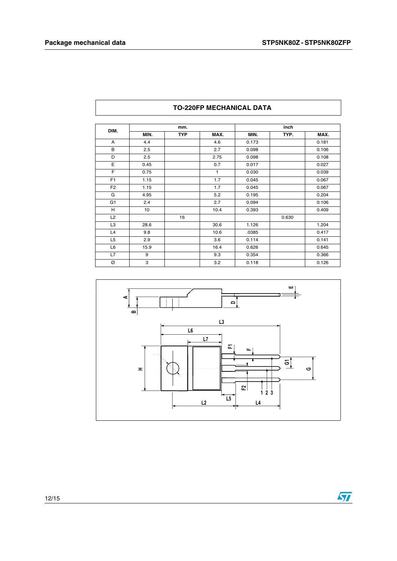$\sqrt{2}$ 

| DIM.           |      | mm.        |      |       | inch  |       |
|----------------|------|------------|------|-------|-------|-------|
|                | MIN. | <b>TYP</b> | MAX. | MIN.  | TYP.  | MAX.  |
| Α              | 4.4  |            | 4.6  | 0.173 |       | 0.181 |
| B              | 2.5  |            | 2.7  | 0.098 |       | 0.106 |
| D              | 2.5  |            | 2.75 | 0.098 |       | 0.108 |
| E              | 0.45 |            | 0.7  | 0.017 |       | 0.027 |
| F              | 0.75 |            | 1    | 0.030 |       | 0.039 |
| F <sub>1</sub> | 1.15 |            | 1.7  | 0.045 |       | 0.067 |
| F <sub>2</sub> | 1.15 |            | 1.7  | 0.045 |       | 0.067 |
| G              | 4.95 |            | 5.2  | 0.195 |       | 0.204 |
| G <sub>1</sub> | 2.4  |            | 2.7  | 0.094 |       | 0.106 |
| H              | 10   |            | 10.4 | 0.393 |       | 0.409 |
| L2             |      | 16         |      |       | 0.630 |       |
| L <sub>3</sub> | 28.6 |            | 30.6 | 1.126 |       | 1.204 |
| L4             | 9.8  |            | 10.6 | .0385 |       | 0.417 |
| L <sub>5</sub> | 2.9  |            | 3.6  | 0.114 |       | 0.141 |
| L <sub>6</sub> | 15.9 |            | 16.4 | 0.626 |       | 0.645 |
| L7             | 9    |            | 9.3  | 0.354 |       | 0.366 |
| Ø              | 3    |            | 3.2  | 0.118 |       | 0.126 |



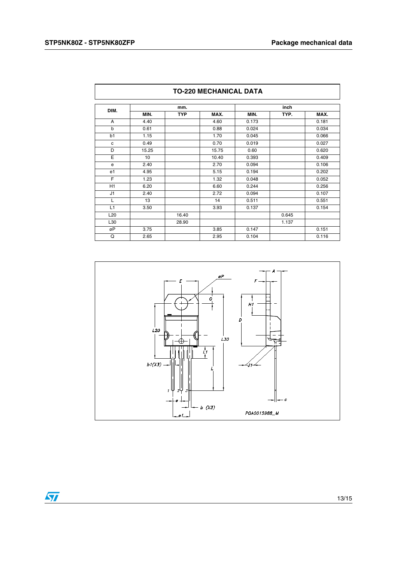٦

 $\overline{\phantom{a}}$ 

| <b>TO-220 MECHANICAL DATA</b> |       |            |       |       |       |       |  |
|-------------------------------|-------|------------|-------|-------|-------|-------|--|
| DIM.                          | mm.   |            |       | inch  |       |       |  |
|                               | MIN.  | <b>TYP</b> | MAX.  | MIN.  | TYP.  | MAX.  |  |
| A                             | 4.40  |            | 4.60  | 0.173 |       | 0.181 |  |
| b                             | 0.61  |            | 0.88  | 0.024 |       | 0.034 |  |
| b1                            | 1.15  |            | 1.70  | 0.045 |       | 0.066 |  |
| c                             | 0.49  |            | 0.70  | 0.019 |       | 0.027 |  |
| D                             | 15.25 |            | 15.75 | 0.60  |       | 0.620 |  |
| E                             | 10    |            | 10.40 | 0.393 |       | 0.409 |  |
| e                             | 2.40  |            | 2.70  | 0.094 |       | 0.106 |  |
| e1                            | 4.95  |            | 5.15  | 0.194 |       | 0.202 |  |
| F                             | 1.23  |            | 1.32  | 0.048 |       | 0.052 |  |
| H1                            | 6.20  |            | 6.60  | 0.244 |       | 0.256 |  |
| J1                            | 2.40  |            | 2.72  | 0.094 |       | 0.107 |  |
| L                             | 13    |            | 14    | 0.511 |       | 0.551 |  |
| L1                            | 3.50  |            | 3.93  | 0.137 |       | 0.154 |  |
| L20                           |       | 16.40      |       |       | 0.645 |       |  |
| L30                           |       | 28.90      |       |       | 1.137 |       |  |
| øP                            | 3.75  |            | 3.85  | 0.147 |       | 0.151 |  |
| Q                             | 2.65  |            | 2.95  | 0.104 |       | 0.116 |  |

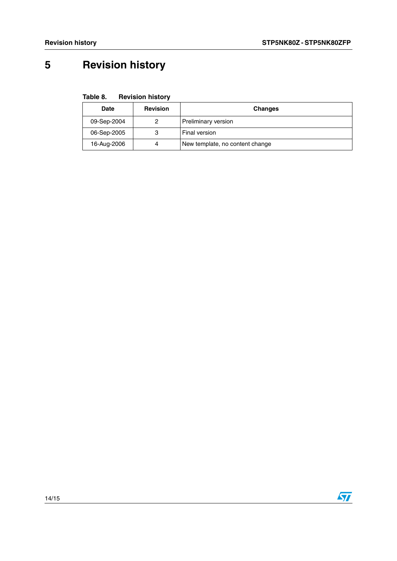# **5 Revision history**

**Table 8. Revision history**

| <b>Date</b> | <b>Revision</b> | <b>Changes</b>                  |
|-------------|-----------------|---------------------------------|
| 09-Sep-2004 |                 | <b>Preliminary version</b>      |
| 06-Sep-2005 |                 | Final version                   |
| 16-Aug-2006 | Δ               | New template, no content change |